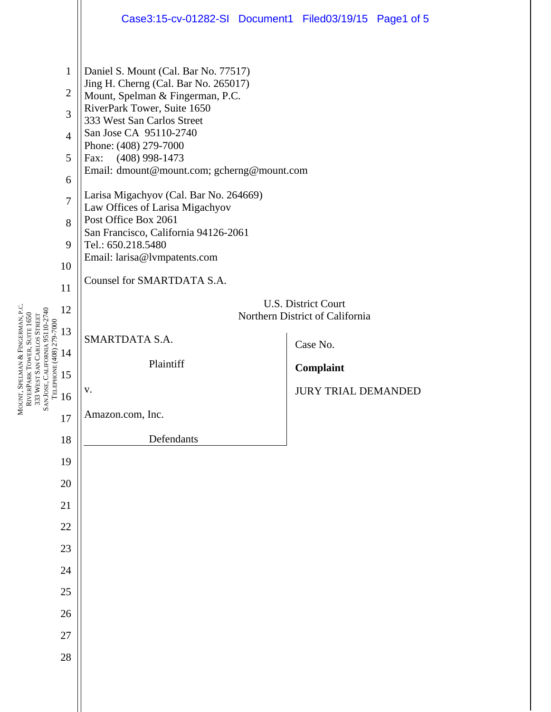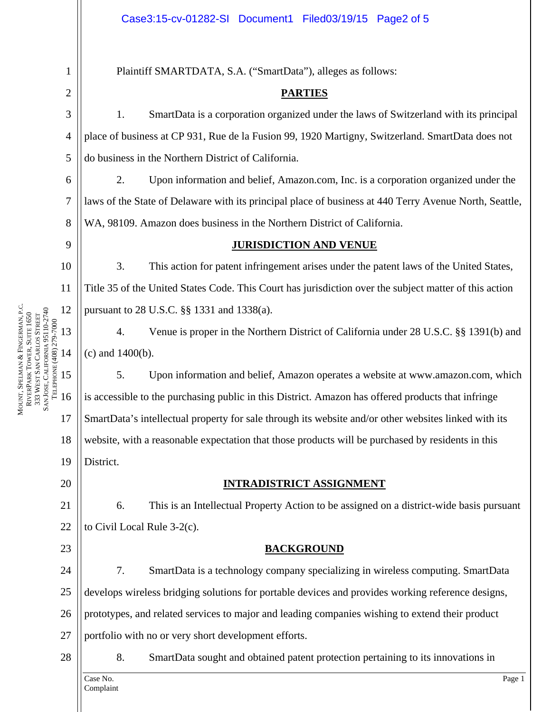6

7

8

 $\overline{Q}$ 

10

11

12

13

14

MOUNT, SPELMAN

RIVERPARK

333

WEST SAN

SAN JOSE, CALIFORNIA 95110-2740 TELEPHONE (408) 279-7000

SAN JOSE, CALIFORNIA 95110-2740 ГЕLЕРНОNЕ (408) 279-7000

CARLOS STREET

TOWER, SUITE 1650

&

FINGERMAN, P.C.

1

Plaintiff SMARTDATA, S.A. ("SmartData"), alleges as follows:

# **PARTIES**

3 4 5 1. SmartData is a corporation organized under the laws of Switzerland with its principal place of business at CP 931, Rue de la Fusion 99, 1920 Martigny, Switzerland. SmartData does not do business in the Northern District of California.

2. Upon information and belief, Amazon.com, Inc. is a corporation organized under the laws of the State of Delaware with its principal place of business at 440 Terry Avenue North, Seattle, WA, 98109. Amazon does business in the Northern District of California.

# **JURISDICTION AND VENUE**

3. This action for patent infringement arises under the patent laws of the United States, Title 35 of the United States Code. This Court has jurisdiction over the subject matter of this action pursuant to 28 U.S.C. §§ 1331 and 1338(a).

4. Venue is proper in the Northern District of California under 28 U.S.C. §§ 1391(b) and (c) and 1400(b).

15 16 17 18 19 5. Upon information and belief, Amazon operates a website at www.amazon.com, which is accessible to the purchasing public in this District. Amazon has offered products that infringe SmartData's intellectual property for sale through its website and/or other websites linked with its website, with a reasonable expectation that those products will be purchased by residents in this District.

20

23

# **INTRADISTRICT ASSIGNMENT**

21 22 6. This is an Intellectual Property Action to be assigned on a district-wide basis pursuant to Civil Local Rule 3-2(c).

# **BACKGROUND**

24 25 26 27 7. SmartData is a technology company specializing in wireless computing. SmartData develops wireless bridging solutions for portable devices and provides working reference designs, prototypes, and related services to major and leading companies wishing to extend their product portfolio with no or very short development efforts.

28

8. SmartData sought and obtained patent protection pertaining to its innovations in

Case No. Page 1 Complaint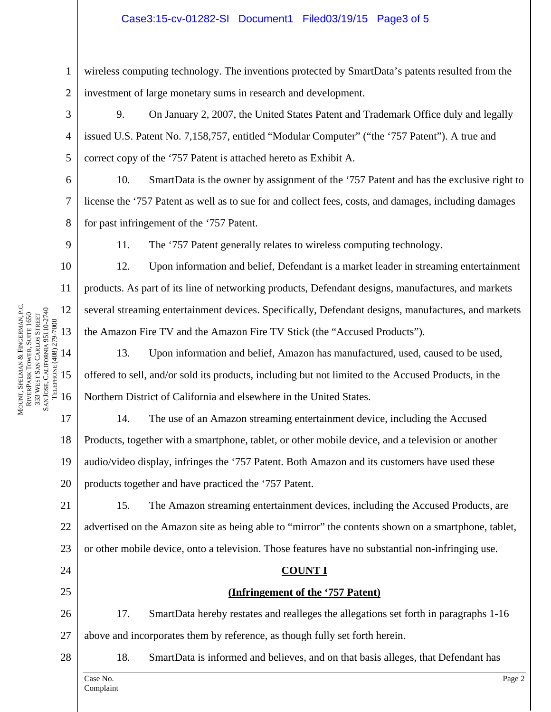# Case3:15-cv-01282-SI Document1 Filed03/19/15 Page3 of 5

1 2 wireless computing technology. The inventions protected by SmartData's patents resulted from the investment of large monetary sums in research and development.

3 4 5 9. On January 2, 2007, the United States Patent and Trademark Office duly and legally issued U.S. Patent No. 7,158,757, entitled "Modular Computer" ("the '757 Patent"). A true and correct copy of the '757 Patent is attached hereto as Exhibit A.

10. SmartData is the owner by assignment of the '757 Patent and has the exclusive right to license the '757 Patent as well as to sue for and collect fees, costs, and damages, including damages for past infringement of the '757 Patent.

 $\overline{Q}$ 

10

11

12

13

14

15

16

MOUNT, SPELMAN

RIVERPARK

333

WEST SAN

SAN JOSE, CALIFORNIA 95110-2740 TELEPHONE (408) 279-7000

SAN JOSE, CALIFORNIA 95110-2740 ГЕLЕРНОNЕ (408) 279-7000

CARLOS STREET

TOWER, SUITE 1650

&

FINGERMAN, P.C.

17

18

19

20

24

25

6

7

8

11. The '757 Patent generally relates to wireless computing technology.

12. Upon information and belief, Defendant is a market leader in streaming entertainment products. As part of its line of networking products, Defendant designs, manufactures, and markets several streaming entertainment devices. Specifically, Defendant designs, manufactures, and markets the Amazon Fire TV and the Amazon Fire TV Stick (the "Accused Products").

13. Upon information and belief, Amazon has manufactured, used, caused to be used, offered to sell, and/or sold its products, including but not limited to the Accused Products, in the Northern District of California and elsewhere in the United States.

14. The use of an Amazon streaming entertainment device, including the Accused Products, together with a smartphone, tablet, or other mobile device, and a television or another audio/video display, infringes the '757 Patent. Both Amazon and its customers have used these products together and have practiced the '757 Patent.

21 22 23 15. The Amazon streaming entertainment devices, including the Accused Products, are advertised on the Amazon site as being able to "mirror" the contents shown on a smartphone, tablet, or other mobile device, onto a television. Those features have no substantial non-infringing use.

#### **COUNT I**

# **(Infringement of the '757 Patent)**

26 27 17. SmartData hereby restates and realleges the allegations set forth in paragraphs 1-16 above and incorporates them by reference, as though fully set forth herein.



18. SmartData is informed and believes, and on that basis alleges, that Defendant has

Case No. Page 2 Complaint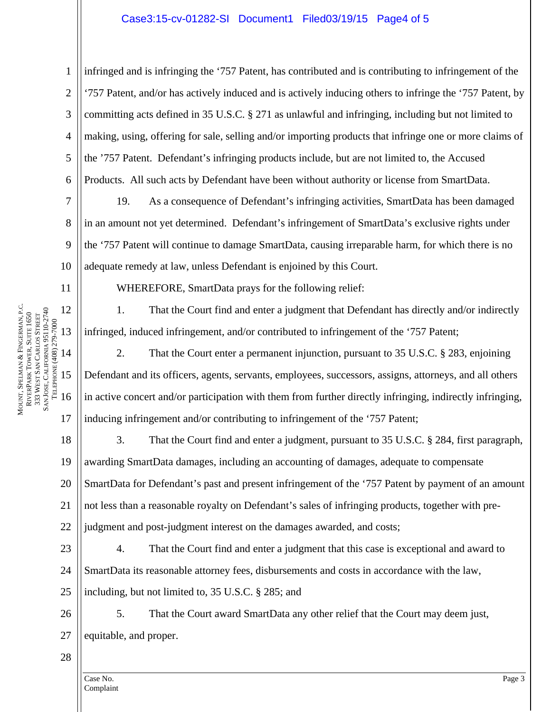# Case3:15-cv-01282-SI Document1 Filed03/19/15 Page4 of 5

1 2 3 4 5 6 infringed and is infringing the '757 Patent, has contributed and is contributing to infringement of the '757 Patent, and/or has actively induced and is actively inducing others to infringe the '757 Patent, by committing acts defined in 35 U.S.C. § 271 as unlawful and infringing, including but not limited to making, using, offering for sale, selling and/or importing products that infringe one or more claims of the '757 Patent. Defendant's infringing products include, but are not limited to, the Accused Products. All such acts by Defendant have been without authority or license from SmartData.

 19. As a consequence of Defendant's infringing activities, SmartData has been damaged in an amount not yet determined. Defendant's infringement of SmartData's exclusive rights under the '757 Patent will continue to damage SmartData, causing irreparable harm, for which there is no adequate remedy at law, unless Defendant is enjoined by this Court.

 FINGERMAN, P.C. SAN JOSE, CALIFORNIA 95110-2740 12 SAN JOSE, CALIFORNIA 95110-2740 TOWER, SUITE 1650 CARLOS STREET TELEPHONE (408) 279-7000 ГЕLЕРНОNЕ (408) 279-7000 13 14 &MOUNT, SPELMAN WEST SAN 15 RIVERPARK 16 333

7

8

9

10

11

17

WHEREFORE, SmartData prays for the following relief:

1. That the Court find and enter a judgment that Defendant has directly and/or indirectly infringed, induced infringement, and/or contributed to infringement of the '757 Patent;

2. That the Court enter a permanent injunction, pursuant to 35 U.S.C. § 283, enjoining Defendant and its officers, agents, servants, employees, successors, assigns, attorneys, and all others in active concert and/or participation with them from further directly infringing, indirectly infringing, inducing infringement and/or contributing to infringement of the '757 Patent;

18 19 20 21 22 3. That the Court find and enter a judgment, pursuant to 35 U.S.C. § 284, first paragraph, awarding SmartData damages, including an accounting of damages, adequate to compensate SmartData for Defendant's past and present infringement of the '757 Patent by payment of an amount not less than a reasonable royalty on Defendant's sales of infringing products, together with prejudgment and post-judgment interest on the damages awarded, and costs;

23 24 25 4. That the Court find and enter a judgment that this case is exceptional and award to SmartData its reasonable attorney fees, disbursements and costs in accordance with the law, including, but not limited to, 35 U.S.C. § 285; and

26 27 5. That the Court award SmartData any other relief that the Court may deem just, equitable, and proper.

28